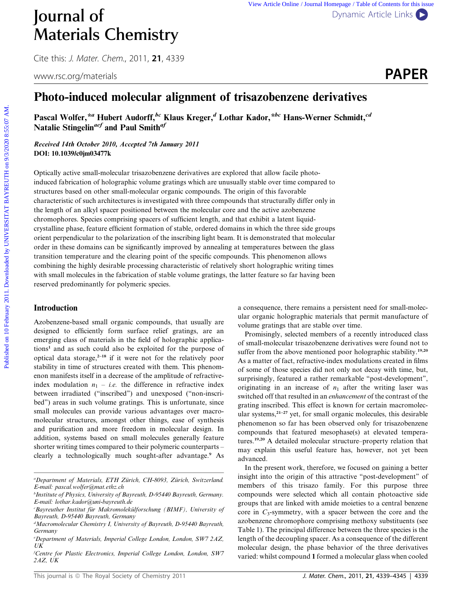Cite this: *J. Mater. Chem.*, 2011, **21**, 4339



# Photo-induced molecular alignment of trisazobenzene derivatives

Pascal Wolfer,<sup>\*a</sup> Hubert Audorff,<sup>bc</sup> Klaus Kreger,<sup>d</sup> Lothar Kador,<sup>\*bc</sup> Hans-Werner Schmidt,<sup>cd</sup> Natalie Stingelin<sup>aef</sup> and Paul Smith<sup>af</sup>

Received 14th October 2010, Accepted 7th January 2011 DOI: 10.1039/c0jm03477k

Optically active small-molecular trisazobenzene derivatives are explored that allow facile photoinduced fabrication of holographic volume gratings which are unusually stable over time compared to structures based on other small-molecular organic compounds. The origin of this favorable characteristic of such architectures is investigated with three compounds that structurally differ only in the length of an alkyl spacer positioned between the molecular core and the active azobenzene chromophores. Species comprising spacers of sufficient length, and that exhibit a latent liquidcrystalline phase, feature efficient formation of stable, ordered domains in which the three side groups orient perpendicular to the polarization of the inscribing light beam. It is demonstrated that molecular order in these domains can be significantly improved by annealing at temperatures between the glass transition temperature and the clearing point of the specific compounds. This phenomenon allows combining the highly desirable processing characteristic of relatively short holographic writing times with small molecules in the fabrication of stable volume gratings, the latter feature so far having been reserved predominantly for polymeric species. **PUBLISHERE CHEMISTS** THE UNIVERSITY CHEMISTIC ACTOR CONTINUES CONTINUES CONTINUES CONTINUES CONTINUES CONTINUES CONTINUES CONTINUES CONTINUES PROPERTY. THE UNIVERSITATIVE SPACE UNIVERSITATIVE SPACE UNIVERSITATIVE SPACE U

# Introduction

Azobenzene-based small organic compounds, that usually are designed to efficiently form surface relief gratings, are an emerging class of materials in the field of holographic applications<sup>1</sup> and as such could also be exploited for the purpose of optical data storage, $2^{-18}$  if it were not for the relatively poor stability in time of structures created with them. This phenomenon manifests itself in a decrease of the amplitude of refractiveindex modulation  $n_1$  – *i.e.* the difference in refractive index between irradiated (''inscribed'') and unexposed (''non-inscribed'') areas in such volume gratings. This is unfortunate, since small molecules can provide various advantages over macromolecular structures, amongst other things, ease of synthesis and purification and more freedom in molecular design. In addition, systems based on small molecules generally feature shorter writing times compared to their polymeric counterparts – clearly a technologically much sought-after advantage.<sup>9</sup> As a consequence, there remains a persistent need for small-molecular organic holographic materials that permit manufacture of volume gratings that are stable over time.

Promisingly, selected members of a recently introduced class of small-molecular trisazobenzene derivatives were found not to suffer from the above mentioned poor holographic stability.<sup>19,20</sup> As a matter of fact, refractive-index modulations created in films of some of those species did not only not decay with time, but, surprisingly, featured a rather remarkable "post-development", originating in an increase of  $n_1$  after the writing laser was switched off that resulted in an enhancement of the contrast of the grating inscribed. This effect is known for certain macromolecular systems, $2^{1-27}$  yet, for small organic molecules, this desirable phenomenon so far has been observed only for trisazobenzene compounds that featured mesophase(s) at elevated temperatures.19,20 A detailed molecular structure–property relation that may explain this useful feature has, however, not yet been advanced.

In the present work, therefore, we focused on gaining a better insight into the origin of this attractive ''post-development'' of members of this trisazo family. For this purpose three compounds were selected which all contain photoactive side groups that are linked with amide moieties to a central benzene core in  $C_3$ -symmetry, with a spacer between the core and the azobenzene chromophore comprising methoxy substituents (see Table 1). The principal difference between the three species is the length of the decoupling spacer. As a consequence of the different molecular design, the phase behavior of the three derivatives varied: whilst compound 1 formed a molecular glass when cooled

<sup>&</sup>lt;sup>a</sup>Department of Materials, ETH Zürich, CH-8093, Zürich, Switzerland. E-mail: pascal.wolfer@mat.ethz.ch

<sup>&</sup>lt;sup>b</sup>Institute of Physics, University of Bayreuth, D-95440 Bayreuth, Germany. E-mail: lothar.kador@uni-bayreuth.de

<sup>&</sup>lt;sup>c</sup>Bayreuther Institut für Makromolekülforschung (BIMF), University of Bayreuth, D-95440 Bayreuth, Germany

<sup>&</sup>lt;sup>d</sup>Macromolecular Chemistry I, University of Bayreuth, D-95440 Bayreuth, Germany

e Department of Materials, Imperial College London, London, SW7 2AZ, UK

f Centre for Plastic Electronics, Imperial College London, London, SW7 2AZ, UK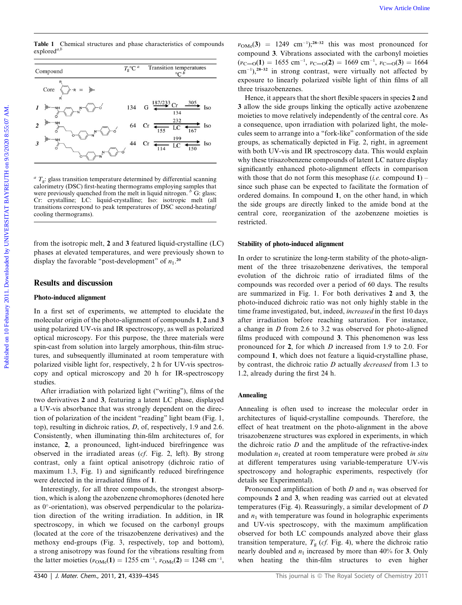**Table 1** Chemical structures and phase characteristics of compounds  $explored^{a,b}$ 

| Compound                  | $T_{\rm g}^{\rm o}$ C <sup>a</sup> | Transition temperatures<br>$\circ$ C b                                |
|---------------------------|------------------------------------|-----------------------------------------------------------------------|
| Core<br>$\rightarrow R =$ |                                    |                                                                       |
| NH                        | 134                                | 305.<br>G $\frac{187/233}{4}$ Cr –<br><b>Iso</b><br>134               |
| NH                        | 64                                 | $\frac{232}{5}$ LC $\rightarrow$<br>$\dot{=}$ Iso<br>Cr<br>167<br>155 |
| NH<br>3                   | 44                                 | 199<br>$\frac{1}{\sqrt{2}}$<br>Iso<br>Cr<br>150                       |

 $a^a$  T<sub>g</sub>: glass transition temperature determined by differential scanning calorimetry (DSC) first-heating thermograms employing samples that were previously quenched from the melt in liquid nitrogen.  $\overline{b}$  G: glass; Cr: crystalline; LC: liquid-crystalline; Iso: isotropic melt (all transitions correspond to peak temperatures of DSC second-heating/ cooling thermograms).

from the isotropic melt, 2 and 3 featured liquid-crystalline (LC) phases at elevated temperatures, and were previously shown to display the favorable "post-development" of  $n_1$ <sup>20</sup>

## Results and discussion

#### Photo-induced alignment

In a first set of experiments, we attempted to elucidate the molecular origin of the photo-alignment of compounds 1, 2 and 3 using polarized UV-vis and IR spectroscopy, as well as polarized optical microscopy. For this purpose, the three materials were spin-cast from solution into largely amorphous, thin-film structures, and subsequently illuminated at room temperature with polarized visible light for, respectively, 2 h for UV-vis spectroscopy and optical microscopy and 20 h for IR-spectroscopy studies.

After irradiation with polarized light (''writing''), films of the two derivatives 2 and 3, featuring a latent LC phase, displayed a UV-vis absorbance that was strongly dependent on the direction of polarization of the incident ''reading'' light beam (Fig. 1, top), resulting in dichroic ratios, D, of, respectively, 1.9 and 2.6. Consistently, when illuminating thin-film architectures of, for instance, 2, a pronounced, light-induced birefringence was observed in the irradiated areas (cf. Fig. 2, left). By strong contrast, only a faint optical anisotropy (dichroic ratio of maximum 1.3, Fig. 1) and significantly reduced birefringence were detected in the irradiated films of 1.

Interestingly, for all three compounds, the strongest absorption, which is along the azobenzene chromophores (denoted here as 0°-orientation), was observed perpendicular to the polarization direction of the writing irradiation. In addition, in IR spectroscopy, in which we focused on the carbonyl groups (located at the core of the trisazobenzene derivatives) and the methoxy end-groups (Fig. 3, respectively, top and bottom), a strong anisotropy was found for the vibrations resulting from the latter moieties  $(v_{\text{OMe}}(1) = 1255 \text{ cm}^{-1}, v_{\text{OMe}}(2) = 1248 \text{ cm}^{-1},$ 

 $v_{\text{OMe}}(3) = 1249 \text{ cm}^{-1};^{28-32}$  this was most pronounced for compound 3. Vibrations associated with the carbonyl moieties  $(v_{\text{C}=0}(1) = 1655 \text{ cm}^{-1}, v_{\text{C}=0}(2) = 1669 \text{ cm}^{-1}, v_{\text{C}=0}(3) = 1664$  $\text{cm}^{-1}$ ),<sup>28–32</sup> in strong contrast, were virtually not affected by exposure to linearly polarized visible light of thin films of all three trisazobenzenes.

Hence, it appears that the short flexible spacers in species 2 and 3 allow the side groups linking the optically active azobenzene moieties to move relatively independently of the central core. As a consequence, upon irradiation with polarized light, the molecules seem to arrange into a ''fork-like'' conformation of the side groups, as schematically depicted in Fig. 2, right, in agreement with both UV-vis and IR spectroscopy data. This would explain why these trisazobenzene compounds of latent LC nature display significantly enhanced photo-alignment effects in comparison with those that do not form this mesophase (*i.e.* compound  $1$ ) – since such phase can be expected to facilitate the formation of ordered domains. In compound 1, on the other hand, in which the side groups are directly linked to the amide bond at the central core, reorganization of the azobenzene moieties is restricted. **Take 1** Chemical entertwice of constrainties of compound  $T_C$ . Transition to property that we can be a more to the constraints of the constraints of the constraints of the constraints of the constraints of the constraint

#### Stability of photo-induced alignment

In order to scrutinize the long-term stability of the photo-alignment of the three trisazobenzene derivatives, the temporal evolution of the dichroic ratio of irradiated films of the compounds was recorded over a period of 60 days. The results are summarized in Fig. 1. For both derivatives 2 and 3, the photo-induced dichroic ratio was not only highly stable in the time frame investigated, but, indeed, increased in the first 10 days after irradiation before reaching saturation. For instance, a change in D from 2.6 to 3.2 was observed for photo-aligned films produced with compound 3. This phenomenon was less pronounced for 2, for which D increased from 1.9 to 2.0. For compound 1, which does not feature a liquid-crystalline phase, by contrast, the dichroic ratio D actually decreased from 1.3 to 1.2, already during the first 24 h.

#### Annealing

Annealing is often used to increase the molecular order in architectures of liquid-crystalline compounds. Therefore, the effect of heat treatment on the photo-alignment in the above trisazobenzene structures was explored in experiments, in which the dichroic ratio  $D$  and the amplitude of the refractive-index modulation  $n_1$  created at room temperature were probed in situ at different temperatures using variable-temperature UV-vis spectroscopy and holographic experiments, respectively (for details see Experimental).

Pronounced amplification of both  $D$  and  $n_1$  was observed for compounds 2 and 3, when reading was carried out at elevated temperatures (Fig. 4). Reassuringly, a similar development of D and  $n_1$  with temperature was found in holographic experiments and UV-vis spectroscopy, with the maximum amplification observed for both LC compounds analyzed above their glass transition temperature,  $T_{\rm g}$  (*cf.* Fig. 4), where the dichroic ratio nearly doubled and  $n_1$  increased by more than 40% for 3. Only when heating the thin-film structures to even higher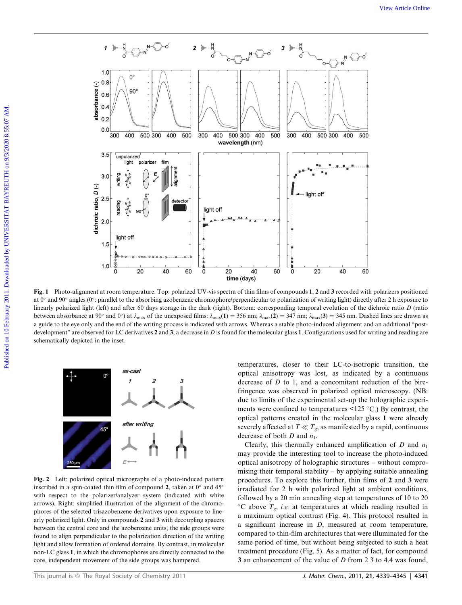

Fig. 1 Photo-alignment at room temperature. Top: polarized UV-vis spectra of thin films of compounds 1, 2 and 3 recorded with polarizers positioned at 0° and 90° angles (0°: parallel to the absorbing azobenzene chromophore/perpendicular to polarization of writing light) directly after 2 h exposure to linearly polarized light (left) and after 60 days storage in the dark (right). Bottom: corresponding temporal evolution of the dichroic ratio  $D$  (ratio between absorbance at 90° and 0°) at  $\lambda_{\text{max}}$  of the unexposed films:  $\lambda_{\text{max}}(1) = 356$  nm;  $\lambda_{\text{max}}(2) = 347$  nm;  $\lambda_{\text{max}}(3) = 345$  nm. Dashed lines are drawn as a guide to the eye only and the end of the writing process is indicated with arrows. Whereas a stable photo-induced alignment and an additional ''postdevelopment" are observed for LC derivatives  $2$  and  $3$ , a decrease in D is found for the molecular glass 1. Configurations used for writing and reading are schematically depicted in the inset.



Fig. 2 Left: polarized optical micrographs of a photo-induced pattern inscribed in a spin-coated thin film of compound 2, taken at  $0^{\circ}$  and  $45^{\circ}$ with respect to the polarizer/analyzer system (indicated with white arrows). Right: simplified illustration of the alignment of the chromophores of the selected trisazobenzene derivatives upon exposure to linearly polarized light. Only in compounds 2 and 3 with decoupling spacers between the central core and the azobenzene units, the side groups were found to align perpendicular to the polarization direction of the writing light and allow formation of ordered domains. By contrast, in molecular non-LC glass 1, in which the chromophores are directly connected to the core, independent movement of the side groups was hampered.

temperatures, closer to their LC-to-isotropic transition, the optical anisotropy was lost, as indicated by a continuous decrease of D to 1, and a concomitant reduction of the birefringence was observed in polarized optical microscopy. (NB: due to limits of the experimental set-up the holographic experiments were confined to temperatures  $\leq$ 125 °C.) By contrast, the optical patterns created in the molecular glass 1 were already severely affected at  $T \ll T_{\rm g}$ , as manifested by a rapid, continuous decrease of both  $D$  and  $n_1$ .

Clearly, this thermally enhanced amplification of  $D$  and  $n_1$ may provide the interesting tool to increase the photo-induced optical anisotropy of holographic structures – without compromising their temporal stability – by applying suitable annealing procedures. To explore this further, thin films of 2 and 3 were irradiated for 2 h with polarized light at ambient conditions, followed by a 20 min annealing step at temperatures of 10 to 20  ${}^{\circ}$ C above  $T_{g}$ , i.e. at temperatures at which reading resulted in a maximum optical contrast (Fig. 4). This protocol resulted in a significant increase in D, measured at room temperature, compared to thin-film architectures that were illuminated for the same period of time, but without being subjected to such a heat treatment procedure (Fig. 5). As a matter of fact, for compound 3 an enhancement of the value of D from 2.3 to 4.4 was found,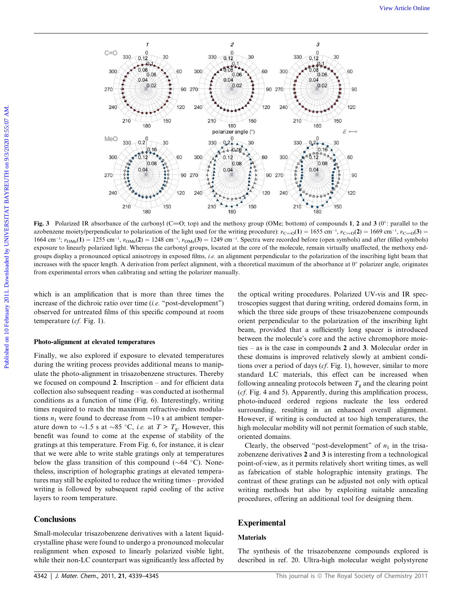

Fig. 3 Polarized IR absorbance of the carbonyl (C=O; top) and the methoxy group (OMe; bottom) of compounds 1, 2 and 3 ( $0^\circ$ : parallel to the azobenzene moiety/perpendicular to polarization of the light used for the writing procedure):  $v_{\text{C}=0}(1) = 1655 \text{ cm}^{-1}$ ,  $v_{\text{C}=0}(2) = 1669 \text{ cm}^{-1}$ ,  $v_{\text{C}=0}(3) = 169 \text{ cm}^{-1}$  $1664$  cm<sup>-1</sup>;  $v_{OMe}(1) = 1255$  cm<sup>-1</sup>,  $v_{OMe}(2) = 1248$  cm<sup>-1</sup>,  $v_{OMe}(3) = 1249$  cm<sup>-1</sup>. Spectra were recorded before (open symbols) and after (filled symbols) exposure to linearly polarized light. Whereas the carbonyl groups, located at the core of the molecule, remain virtually unaffected, the methoxy endgroups display a pronounced optical anisotropy in exposed films, i.e. an alignment perpendicular to the polarization of the inscribing light beam that increases with the spacer length. A derivation from perfect alignment, with a theoretical maximum of the absorbance at  $0^\circ$  polarizer angle, originates from experimental errors when calibrating and setting the polarizer manually.

which is an amplification that is more than three times the increase of the dichroic ratio over time (i.e. ''post-development'') observed for untreated films of this specific compound at room temperature  $(cf. Fig. 1)$ .

#### Photo-alignment at elevated temperatures

Finally, we also explored if exposure to elevated temperatures during the writing process provides additional means to manipulate the photo-alignment in trisazobenzene structures. Thereby we focused on compound 2. Inscription – and for efficient data collection also subsequent reading – was conducted at isothermal conditions as a function of time (Fig. 6). Interestingly, writing times required to reach the maximum refractive-index modulations  $n_1$  were found to decrease from  $\sim 10$  s at ambient temperature down to  $\sim$ 1.5 s at  $\sim$ 85 °C, *i.e.* at  $T > T_{g}$ . However, this benefit was found to come at the expense of stability of the gratings at this temperature. From Fig. 6, for instance, it is clear that we were able to write stable gratings only at temperatures below the glass transition of this compound ( $\sim$ 64 °C). Nonetheless, inscription of holographic gratings at elevated temperatures may still be exploited to reduce the writing times – provided writing is followed by subsequent rapid cooling of the active layers to room temperature.

# **Conclusions**

Small-molecular trisazobenzene derivatives with a latent liquidcrystalline phase were found to undergo a pronounced molecular realignment when exposed to linearly polarized visible light, while their non-LC counterpart was significantly less affected by

the optical writing procedures. Polarized UV-vis and IR spectroscopies suggest that during writing, ordered domains form, in which the three side groups of these trisazobenzene compounds orient perpendicular to the polarization of the inscribing light beam, provided that a sufficiently long spacer is introduced between the molecule's core and the active chromophore moieties – as is the case in compounds 2 and 3. Molecular order in these domains is improved relatively slowly at ambient conditions over a period of days (cf. Fig. 1), however, similar to more standard LC materials, this effect can be increased when following annealing protocols between  $T_g$  and the clearing point (cf. Fig. 4 and 5). Apparently, during this amplification process, photo-induced ordered regions nucleate the less ordered surrounding, resulting in an enhanced overall alignment. However, if writing is conducted at too high temperatures, the high molecular mobility will not permit formation of such stable, oriented domains.

Clearly, the observed "post-development" of  $n_1$  in the trisazobenzene derivatives 2 and 3 is interesting from a technological point-of-view, as it permits relatively short writing times, as well as fabrication of stable holographic intensity gratings. The contrast of these gratings can be adjusted not only with optical writing methods but also by exploiting suitable annealing procedures, offering an additional tool for designing them.

# Experimental

# **Materials**

The synthesis of the trisazobenzene compounds explored is described in ref. 20. Ultra-high molecular weight polystyrene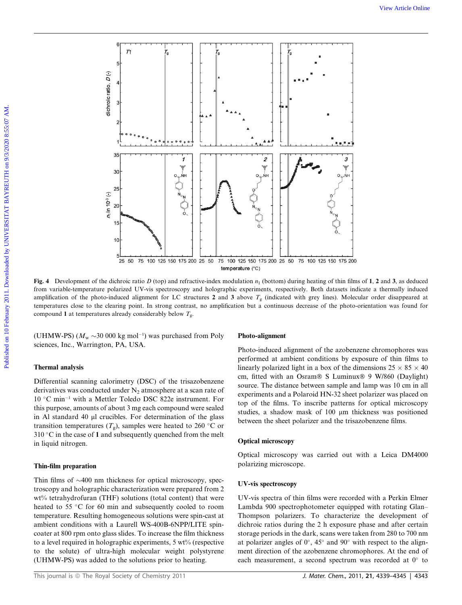

Fig. 4 Development of the dichroic ratio D (top) and refractive-index modulation  $n_1$  (bottom) during heating of thin films of 1, 2 and 3, as deduced from variable-temperature polarized UV-vis spectroscopy and holographic experiments, respectively. Both datasets indicate a thermally induced amplification of the photo-induced alignment for LC structures 2 and 3 above  $T_g$  (indicated with grey lines). Molecular order disappeared at temperatures close to the clearing point. In strong contrast, no amplification but a continuous decrease of the photo-orientation was found for compound 1 at temperatures already considerably below  $T_{\rm g}$ .

(UHMW-PS) ( $M_{\rm w}$  ~30 000 kg mol<sup>-1</sup>) was purchased from Poly sciences, Inc., Warrington, PA, USA.

## Thermal analysis

Differential scanning calorimetry (DSC) of the trisazobenzene derivatives was conducted under  $N<sub>2</sub>$  atmosphere at a scan rate of 10 °C min<sup>-1</sup> with a Mettler Toledo DSC 822e instrument. For this purpose, amounts of about 3 mg each compound were sealed in Al standard 40 µl crucibles. For determination of the glass transition temperatures  $(T_g)$ , samples were heated to 260 °C or  $310\text{ °C}$  in the case of 1 and subsequently quenched from the melt in liquid nitrogen.

## Thin-film preparation

Thin films of  $\sim$ 400 nm thickness for optical microscopy, spectroscopy and holographic characterization were prepared from 2 wt% tetrahydrofuran (THF) solutions (total content) that were heated to 55 °C for 60 min and subsequently cooled to room temperature. Resulting homogeneous solutions were spin-cast at ambient conditions with a Laurell WS-400B-6NPP/LITE spincoater at 800 rpm onto glass slides. To increase the film thickness to a level required in holographic experiments,  $5 \text{ wt}$ % (respective to the solute) of ultra-high molecular weight polystyrene (UHMW-PS) was added to the solutions prior to heating.

#### Photo-alignment

Photo-induced alignment of the azobenzene chromophores was performed at ambient conditions by exposure of thin films to linearly polarized light in a box of the dimensions  $25 \times 85 \times 40$ cm, fitted with an Osram® S Luminux® 9 W/860 (Daylight) source. The distance between sample and lamp was 10 cm in all experiments and a Polaroid HN-32 sheet polarizer was placed on top of the films. To inscribe patterns for optical microscopy studies, a shadow mask of 100 µm thickness was positioned between the sheet polarizer and the trisazobenzene films.

#### Optical microscopy

Optical microscopy was carried out with a Leica DM4000 polarizing microscope.

#### UV-vis spectroscopy

UV-vis spectra of thin films were recorded with a Perkin Elmer Lambda 900 spectrophotometer equipped with rotating Glan– Thompson polarizers. To characterize the development of dichroic ratios during the 2 h exposure phase and after certain storage periods in the dark, scans were taken from 280 to 700 nm at polarizer angles of  $0^\circ$ ,  $45^\circ$  and  $90^\circ$  with respect to the alignment direction of the azobenzene chromophores. At the end of each measurement, a second spectrum was recorded at  $0^{\circ}$  to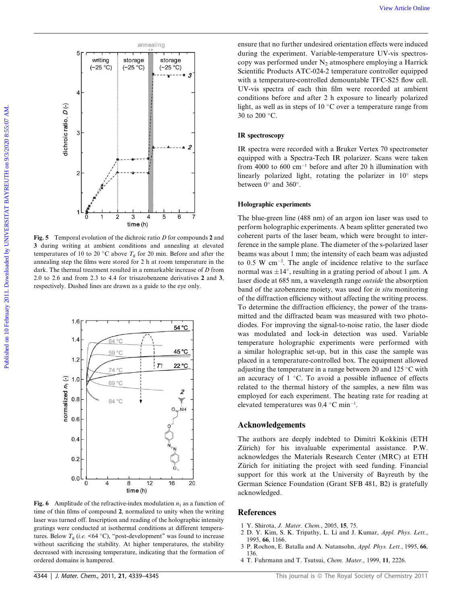

Fig. 5 Temporal evolution of the dichroic ratio  $D$  for compounds 2 and 3 during writing at ambient conditions and annealing at elevated temperatures of 10 to 20 °C above  $T_g$  for 20 min. Before and after the annealing step the films were stored for 2 h at room temperature in the dark. The thermal treatment resulted in a remarkable increase of D from 2.0 to 2.6 and from 2.3 to 4.4 for trisazobenzene derivatives 2 and 3, respectively. Dashed lines are drawn as a guide to the eye only.



Fig. 6 Amplitude of the refractive-index modulation  $n_1$  as a function of time of thin films of compound 2, normalized to unity when the writing laser was turned off. Inscription and reading of the holographic intensity gratings were conducted at isothermal conditions at different temperatures. Below  $T_{\rm g}$  (*i.e.* <64 °C), "post-development" was found to increase without sacrificing the stability. At higher temperatures, the stability decreased with increasing temperature, indicating that the formation of ordered domains is hampered.

ensure that no further undesired orientation effects were induced during the experiment. Variable-temperature UV-vis spectroscopy was performed under  $N_2$  atmosphere employing a Harrick Scientific Products ATC-024-2 temperature controller equipped with a temperature-controlled demountable TFC-S25 flow cell. UV-vis spectra of each thin film were recorded at ambient conditions before and after 2 h exposure to linearly polarized light, as well as in steps of 10  $^{\circ}$ C over a temperature range from 30 to 200  $\,^{\circ}\text{C}$ .

#### IR spectroscopy

IR spectra were recorded with a Bruker Vertex 70 spectrometer equipped with a Spectra-Tech IR polarizer. Scans were taken from 4000 to 600  $cm^{-1}$  before and after 20 h illumination with linearly polarized light, rotating the polarizer in  $10^{\circ}$  steps between  $0^{\circ}$  and  $360^{\circ}$ .

## Holographic experiments

The blue-green line (488 nm) of an argon ion laser was used to perform holographic experiments. A beam splitter generated two coherent parts of the laser beam, which were brought to interference in the sample plane. The diameter of the s-polarized laser beams was about 1 mm; the intensity of each beam was adjusted to  $0.5 \text{ W cm}^{-2}$ . The angle of incidence relative to the surface normal was  $\pm 14^{\circ}$ , resulting in a grating period of about 1 µm. A laser diode at 685 nm, a wavelength range outside the absorption band of the azobenzene moiety, was used for in situ monitoring of the diffraction efficiency without affecting the writing process. To determine the diffraction efficiency, the power of the transmitted and the diffracted beam was measured with two photodiodes. For improving the signal-to-noise ratio, the laser diode was modulated and lock-in detection was used. Variable temperature holographic experiments were performed with a similar holographic set-up, but in this case the sample was placed in a temperature-controlled box. The equipment allowed adjusting the temperature in a range between 20 and 125 °C with an accuracy of  $1 \degree C$ . To avoid a possible influence of effects related to the thermal history of the samples, a new film was employed for each experiment. The heating rate for reading at elevated temperatures was  $0.4$  °C min<sup>-1</sup>.

## Acknowledgements

The authors are deeply indebted to Dimitri Kokkinis (ETH Zürich) for his invaluable experimental assistance. P.W. acknowledges the Materials Research Center (MRC) at ETH Zürich for initiating the project with seed funding. Financial support for this work at the University of Bayreuth by the German Science Foundation (Grant SFB 481, B2) is gratefully acknowledged.

### References

- 1 Y. Shirota, *J. Mater. Chem.*, 2005, **15**, 75.<br>2 D. Y. Kim, S. K. Tripathy, L. Li and J.
- 2 D. Y. Kim, S. K. Tripathy, L. Li and J. Kumar, Appl. Phys. Lett., 1995, 66, 1166.
- 3 P. Rochon, E. Batalla and A. Natansohn, Appl. Phys. Lett., 1995, 66, 136.
- 4 T. Fuhrmann and T. Tsutsui, Chem. Mater., 1999, 11, 2226.